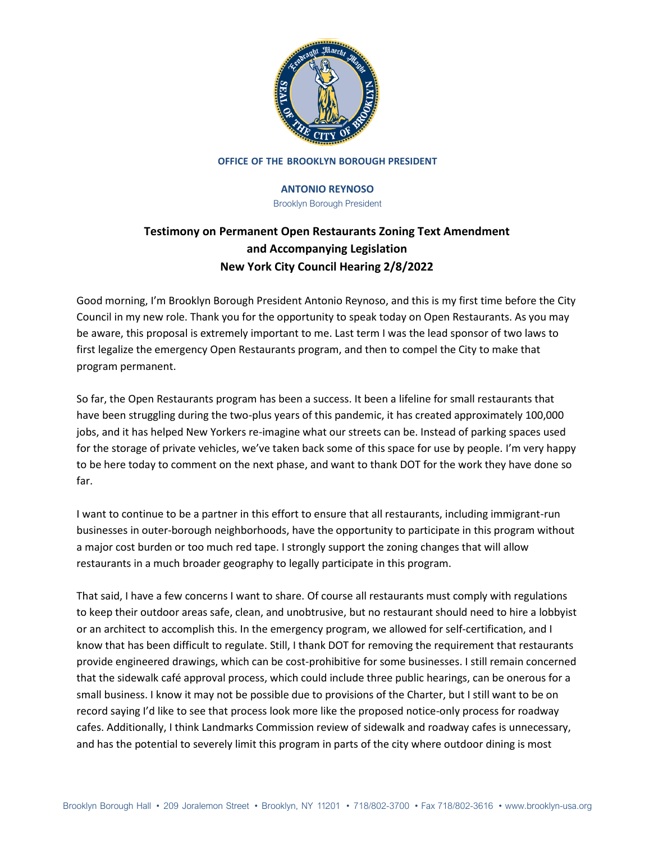

#### **OFFICE OF THE BROOKLYN BOROUGH PRESIDENT**

## **ANTONIO REYNOSO**

Brooklyn Borough President

# **Testimony on Permanent Open Restaurants Zoning Text Amendment and Accompanying Legislation New York City Council Hearing 2/8/2022**

Good morning, I'm Brooklyn Borough President Antonio Reynoso, and this is my first time before the City Council in my new role. Thank you for the opportunity to speak today on Open Restaurants. As you may be aware, this proposal is extremely important to me. Last term I was the lead sponsor of two laws to first legalize the emergency Open Restaurants program, and then to compel the City to make that program permanent.

So far, the Open Restaurants program has been a success. It been a lifeline for small restaurants that have been struggling during the two-plus years of this pandemic, it has created approximately 100,000 jobs, and it has helped New Yorkers re-imagine what our streets can be. Instead of parking spaces used for the storage of private vehicles, we've taken back some of this space for use by people. I'm very happy to be here today to comment on the next phase, and want to thank DOT for the work they have done so far.

I want to continue to be a partner in this effort to ensure that all restaurants, including immigrant-run businesses in outer-borough neighborhoods, have the opportunity to participate in this program without a major cost burden or too much red tape. I strongly support the zoning changes that will allow restaurants in a much broader geography to legally participate in this program.

That said, I have a few concerns I want to share. Of course all restaurants must comply with regulations to keep their outdoor areas safe, clean, and unobtrusive, but no restaurant should need to hire a lobbyist or an architect to accomplish this. In the emergency program, we allowed for self-certification, and I know that has been difficult to regulate. Still, I thank DOT for removing the requirement that restaurants provide engineered drawings, which can be cost-prohibitive for some businesses. I still remain concerned that the sidewalk café approval process, which could include three public hearings, can be onerous for a small business. I know it may not be possible due to provisions of the Charter, but I still want to be on record saying I'd like to see that process look more like the proposed notice-only process for roadway cafes. Additionally, I think Landmarks Commission review of sidewalk and roadway cafes is unnecessary, and has the potential to severely limit this program in parts of the city where outdoor dining is most